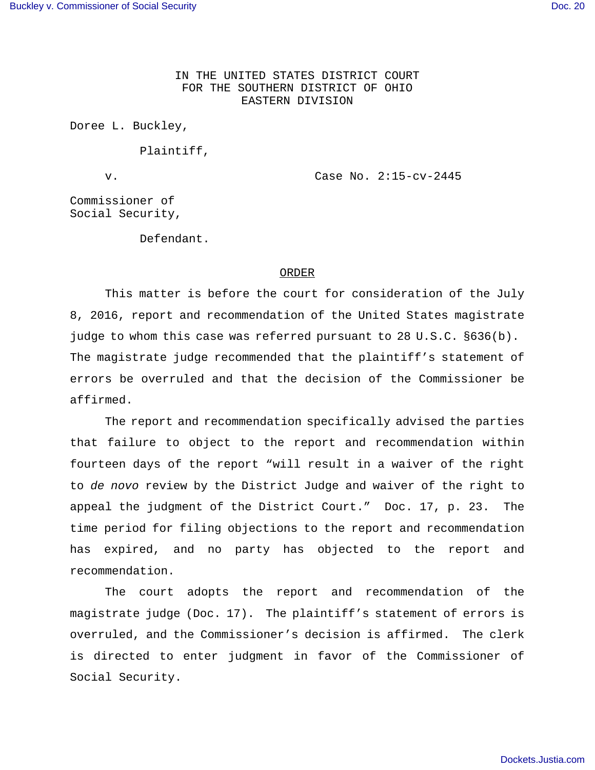IN THE UNITED STATES DISTRICT COURT FOR THE SOUTHERN DISTRICT OF OHIO EASTERN DIVISION

Doree L. Buckley,

Plaintiff,

v. Case No. 2:15-cv-2445

Commissioner of Social Security,

Defendant.

## ORDER

This matter is before the court for consideration of the July 8, 2016, report and recommendation of the United States magistrate judge to whom this case was referred pursuant to 28 U.S.C. §636(b). The magistrate judge recommended that the plaintiff's statement of errors be overruled and that the decision of the Commissioner be affirmed.

The report and recommendation specifically advised the parties that failure to object to the report and recommendation within fourteen days of the report "will result in a waiver of the right to de novo review by the District Judge and waiver of the right to appeal the judgment of the District Court." Doc. 17, p. 23. The time period for filing objections to the report and recommendation has expired, and no party has objected to the report and recommendation.

The court adopts the report and recommendation of the magistrate judge (Doc. 17). The plaintiff's statement of errors is overruled, and the Commissioner's decision is affirmed. The clerk is directed to enter judgment in favor of the Commissioner of Social Security.